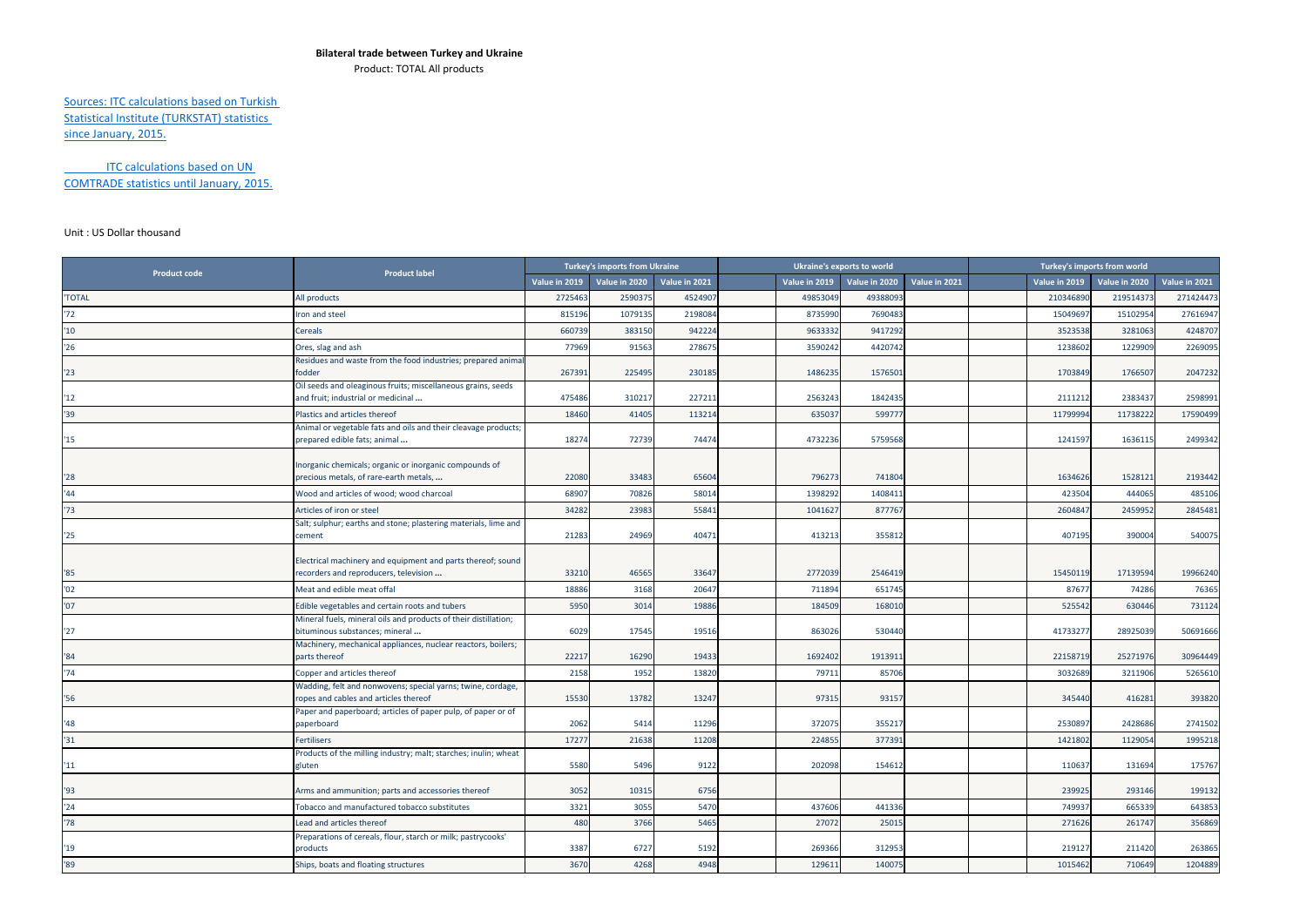## **Bilateral trade between Turkey and Ukraine**

Product: TOTAL All products

## Sources: ITC calculations based on Turkish Statistical Institute (TURKSTAT) statistics since January, 2015.

ITC calculations based on UN COMTRADE statistics until January, 2015.

## Unit : US Dollar thousand

| <b>Product code</b> | <b>Product label</b>                                                                                 | Turkey's imports from Ukraine |               |               | Ukraine's exports to world | Turkey's imports from world |               |  |               |               |               |
|---------------------|------------------------------------------------------------------------------------------------------|-------------------------------|---------------|---------------|----------------------------|-----------------------------|---------------|--|---------------|---------------|---------------|
|                     |                                                                                                      | Value in 2019                 | Value in 2020 | Value in 2021 | Value in 2019              | Value in 2020               | Value in 2021 |  | Value in 2019 | Value in 2020 | Value in 2021 |
| 'TOTAL              | All products                                                                                         | 2725463                       | 259037        | 452490        | 49853049                   | 49388093                    |               |  | 210346890     | 219514373     | 271424473     |
| '72                 | ron and steel                                                                                        | 815196                        | 1079135       | 219808        | 8735990                    | 7690483                     |               |  | 15049697      | 15102954      | 27616947      |
| "10"                | Cereals                                                                                              | 660739                        | 383150        | 942224        | 9633332                    | 9417292                     |               |  | 3523538       | 3281063       | 4248707       |
| '26                 | Ores, slag and ash                                                                                   | 77969                         | 91563         | 278675        | 3590242                    | 4420742                     |               |  | 1238602       | 1229909       | 2269095       |
| "23"                | Residues and waste from the food industries; prepared anima<br>fodder                                | 267391                        | 225495        | 230185        | 1486235                    | 157650                      |               |  | 1703849       | 1766507       | 2047232       |
| 12                  | Oil seeds and oleaginous fruits; miscellaneous grains, seeds<br>and fruit; industrial or medicinal   | 475486                        | 310217        | 22721         | 2563243                    | 1842435                     |               |  | 2111212       | 2383437       | 2598991       |
| 39                  | Plastics and articles thereof                                                                        | 18460                         | 41405         | 11321         | 635037                     | 599777                      |               |  | 11799994      | 11738222      | 17590499      |
| 15                  | Animal or vegetable fats and oils and their cleavage products;<br>prepared edible fats; animal       | 18274                         | 72739         | 74474         | 4732236                    | 5759568                     |               |  | 1241597       | 1636115       | 2499342       |
| "28"                | Inorganic chemicals; organic or inorganic compounds of<br>precious metals, of rare-earth metals,     | 22080                         | 33483         | 6560          | 796273                     | 741804                      |               |  | 1634626       | 1528121       | 2193442       |
| '44                 | Wood and articles of wood; wood charcoal                                                             | 68907                         | 70826         | 5801          | 1398292                    | 1408411                     |               |  | 423504        | 444065        | 485106        |
| '73                 | Articles of iron or steel                                                                            | 34282                         | 23983         | 5584          | 1041627                    | 877767                      |               |  | 2604847       | 2459952       | 2845481       |
| "25"                | Salt; sulphur; earths and stone; plastering materials, lime and<br>cement                            | 21283                         | 24969         | 40471         | 413213                     | 355812                      |               |  | 407195        | 390004        | 540075        |
| $^{\prime}85$       | Electrical machinery and equipment and parts thereof; sound<br>recorders and reproducers, television | 33210                         | 46565         | 3364          | 2772039                    | 2546419                     |               |  | 15450119      | 17139594      | 19966240      |
| '02                 | Meat and edible meat offal                                                                           | 18886                         | 3168          | 2064          | 711894                     | 651745                      |               |  | 87677         | 74286         | 76365         |
| '07                 | Edible vegetables and certain roots and tubers                                                       | 5950                          | 3014          | 19886         | 184509                     | 168010                      |               |  | 525542        | 630446        | 731124        |
| '27                 | Mineral fuels, mineral oils and products of their distillation;<br>bituminous substances; mineral    | 6029                          | 17545         | 19516         | 863026                     | 530440                      |               |  | 4173327       | 28925039      | 50691666      |
| '84                 | Machinery, mechanical appliances, nuclear reactors, boilers;<br>parts thereof                        | 22217                         | 16290         | 19433         | 1692402                    | 1913911                     |               |  | 22158719      | 25271976      | 30964449      |
| '74                 | Copper and articles thereof                                                                          | 2158                          | 1952          | 13820         | 7971:                      | 85706                       |               |  | 3032689       | 3211906       | 5265610       |
| '56                 | Wadding, felt and nonwovens; special yarns; twine, cordage,<br>ropes and cables and articles thereof | 15530                         | 13782         | 1324          | 97315                      | 93157                       |               |  | 345440        | 416281        | 393820        |
| '48                 | Paper and paperboard; articles of paper pulp, of paper or of<br>paperboard                           | 2062                          | 5414          | 11296         | 372075                     | 35521                       |               |  | 2530897       | 2428686       | 2741502       |
| '31                 | <b>Fertilisers</b>                                                                                   | 17277                         | 21638         | 11208         | 224855                     | 377391                      |               |  | 1421802       | 1129054       | 1995218       |
| "11                 | Products of the milling industry; malt; starches; inulin; wheat<br>gluten                            | 5580                          | 5496          | 9122          | 202098                     | 154612                      |               |  | 110637        | 131694        | 175767        |
| '93                 | Arms and ammunition; parts and accessories thereof                                                   | 3052                          | 10315         | 6756          |                            |                             |               |  | 239925        | 293146        | 199132        |
| '24                 | Tobacco and manufactured tobacco substitutes                                                         | 3321                          | 3055          | 5470          | 437606                     | 441336                      |               |  | 749937        | 665339        | 643853        |
| '78                 | Lead and articles thereof                                                                            | 480                           | 3766          | 5465          | 27072                      | 2501                        |               |  | 271626        | 261747        | 356869        |
| '19                 | Preparations of cereals, flour, starch or milk; pastrycooks'<br>products                             | 3387                          | 6727          | 5192          | 269366                     | 312953                      |               |  | 219127        | 211420        | 263865        |
| '89                 | Ships, boats and floating structures                                                                 | 3670                          | 4268          | 4948          | 129611                     | 140075                      |               |  | 1015462       | 710649        | 1204889       |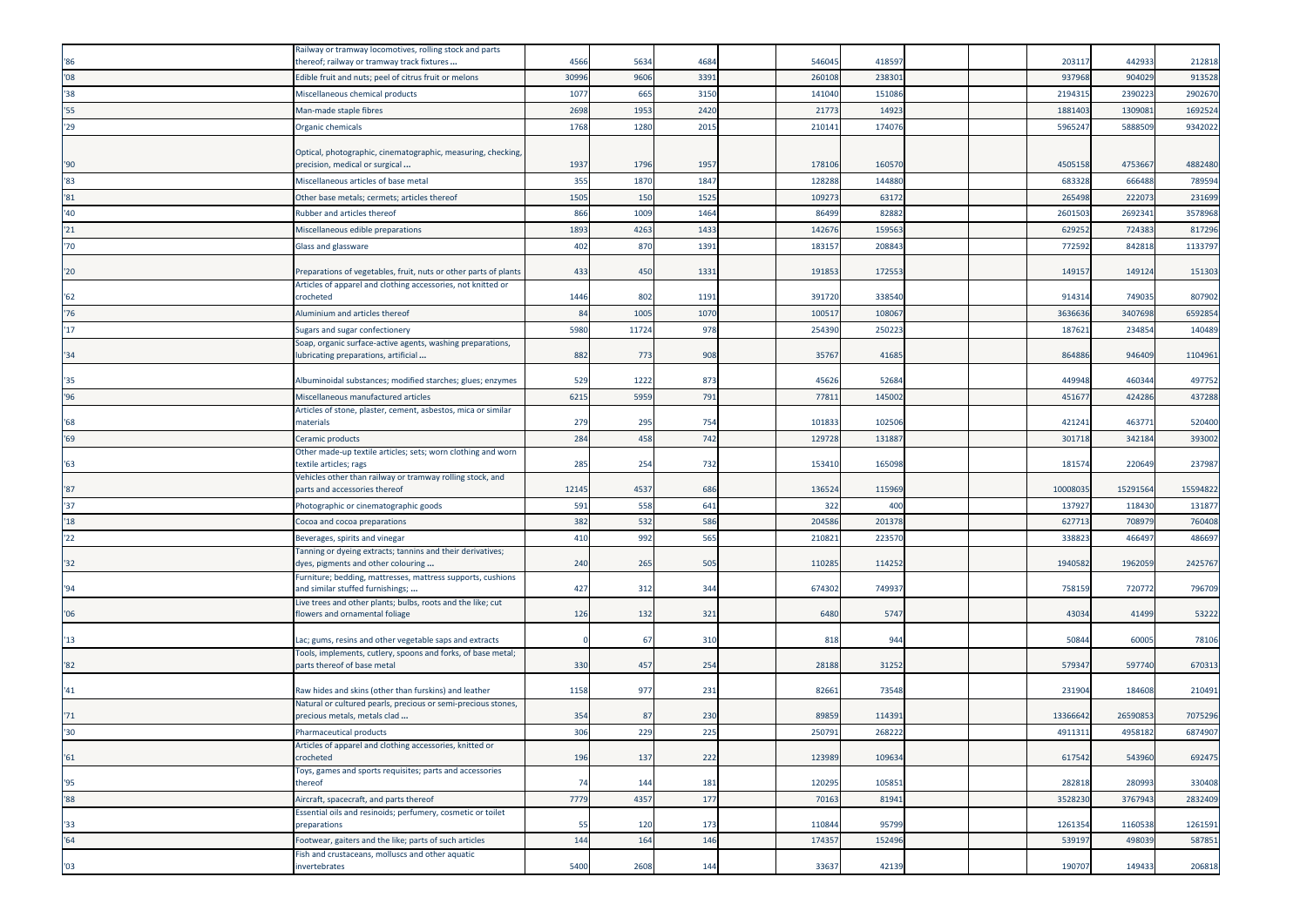| '86           | Railway or tramway locomotives, rolling stock and parts<br>thereof; railway or tramway track fixtures                            | 4566  | 5634  | 4684 | 546045 | 41859  |  | 20311    | 442933   | 212818   |
|---------------|----------------------------------------------------------------------------------------------------------------------------------|-------|-------|------|--------|--------|--|----------|----------|----------|
| '08           | Edible fruit and nuts; peel of citrus fruit or melons                                                                            | 30996 | 9606  | 3391 | 26010  | 23830  |  | 93796    | 904029   | 913528   |
| 38            | Miscellaneous chemical products                                                                                                  | 1077  | 665   | 3150 | 141040 | 151086 |  | 219431   | 239022   | 2902670  |
| 55'           | Man-made staple fibres                                                                                                           | 2698  | 1953  | 2420 | 2177   | 1492   |  | 188140   | 130908   | 1692524  |
| '29           | Organic chemicals                                                                                                                | 1768  | 1280  | 2015 | 210141 | 17407  |  | 596524   | 5888509  | 9342022  |
|               |                                                                                                                                  |       |       |      |        |        |  |          |          |          |
|               | Optical, photographic, cinematographic, measuring, checking,                                                                     |       |       |      |        |        |  |          |          |          |
| '90           | precision, medical or surgical                                                                                                   | 1937  | 1796  | 1957 | 17810  | 16057  |  | 450515   | 4753667  | 4882480  |
| '83           | Miscellaneous articles of base metal                                                                                             | 355   | 1870  | 1847 | 128288 | 14488  |  | 68332    | 666488   | 789594   |
| $^{\prime}81$ | Other base metals; cermets; articles thereof                                                                                     | 1505  | 150   | 1525 | 10927  | 6317   |  | 265498   | 22207    | 231699   |
| '40           | <b>Rubber and articles thereof</b>                                                                                               | 866   | 1009  | 1464 | 86499  | 8288   |  | 260150   | 269234   | 3578968  |
| '21           | Miscellaneous edible preparations                                                                                                | 1893  | 4263  | 1433 | 14267  | 15956  |  | 62925    | 724383   | 817296   |
| '70           | Glass and glassware                                                                                                              | 402   | 870   | 1391 | 183157 | 20884  |  | 772592   | 842818   | 1133797  |
|               |                                                                                                                                  |       |       |      |        |        |  |          |          |          |
| "20"          | Preparations of vegetables, fruit, nuts or other parts of plants<br>Articles of apparel and clothing accessories, not knitted or | 433   | 450   | 1331 | 191853 | 172553 |  | 14915    | 149124   | 151303   |
| '62           | crocheted                                                                                                                        | 1446  | 802   | 1191 | 391720 | 33854  |  | 91431    | 749035   | 807902   |
| '76           | Aluminium and articles thereof                                                                                                   | 84    | 1005  | 1070 | 10051  | 10806  |  | 363663   | 3407698  | 6592854  |
| 17            | Sugars and sugar confectionery                                                                                                   | 5980  | 11724 | 978  | 254390 | 25022  |  | 18762    | 234854   | 140489   |
|               | Soap, organic surface-active agents, washing preparations,                                                                       |       |       |      |        |        |  |          |          |          |
| '34'          | lubricating preparations, artificial                                                                                             | 882   | 773   | 908  | 35767  | 41685  |  | 86488    | 946409   | 1104961  |
| '35           | Albuminoidal substances; modified starches; glues; enzymes                                                                       | 529   | 1222  | 873  | 45626  | 5268   |  | 449948   | 460344   | 497752   |
| 96'           | Miscellaneous manufactured articles                                                                                              | 6215  | 5959  | 791  | 77811  | 14500  |  | 45167    | 424286   | 437288   |
|               | Articles of stone, plaster, cement, asbestos, mica or similar                                                                    |       |       |      |        |        |  |          |          |          |
| '68           | naterials                                                                                                                        | 279   | 295   | 754  | 10183  | 10250  |  | 42124    | 46377    | 520400   |
| '69           | Ceramic products                                                                                                                 | 284   | 458   | 742  | 12972  | 13188  |  | 30171    | 342184   | 393002   |
|               | Other made-up textile articles; sets; worn clothing and worn                                                                     |       |       |      |        |        |  |          |          |          |
| '63           | extile articles; rags<br>/ehicles other than railway or tramway rolling stock, and                                               | 285   | 254   | 732  | 153410 | 16509  |  | 18157    | 220649   | 237987   |
| "87"          | parts and accessories thereof                                                                                                    | 12145 | 4537  | 686  | 136524 | 11596  |  | 1000803  | 15291564 | 15594822 |
| '37           | Photographic or cinematographic goods                                                                                            | 591   | 558   | 641  | 322    | 400    |  | 13792    | 118430   | 131877   |
| '18           | Cocoa and cocoa preparations                                                                                                     | 382   | 532   | 586  | 204586 | 20137  |  | 62771    | 70897    | 760408   |
| 122           | Beverages, spirits and vinegar                                                                                                   | 410   | 992   | 565  | 21082  | 22357  |  | 33882    | 466497   | 486697   |
|               | Tanning or dyeing extracts; tannins and their derivatives;                                                                       |       |       |      |        |        |  |          |          |          |
| "32"          | dyes, pigments and other colouring                                                                                               | 240   | 265   | 505  | 110285 | 11425  |  | 1940582  | 196205   | 2425767  |
| '94           | Furniture; bedding, mattresses, mattress supports, cushions<br>and similar stuffed furnishings;                                  | 427   | 312   | 344  | 674302 | 74993  |  | 758159   | 720772   | 796709   |
|               | Live trees and other plants; bulbs, roots and the like; cut                                                                      |       |       |      |        |        |  |          |          |          |
| '06           | flowers and ornamental foliage                                                                                                   | 126   | 132   | 321  | 6480   | 5747   |  | 43034    | 41499    | 53222    |
| 13            | Lac; gums, resins and other vegetable saps and extracts                                                                          |       | 67    | 310  | 818    | 94     |  | 5084     | 60005    | 78106    |
|               | Tools, implements, cutlery, spoons and forks, of base metal;                                                                     |       |       |      |        |        |  |          |          |          |
| $^{\prime}82$ | parts thereof of base metal                                                                                                      | 330   | 457   | 254  | 28188  | 3125   |  | 57934    | 597740   | 670313   |
|               |                                                                                                                                  |       |       |      |        |        |  |          |          |          |
| '41           | Raw hides and skins (other than furskins) and leather<br>Natural or cultured pearls, precious or semi-precious stones,           | 1158  | 977   | 231  | 82661  | 7354   |  | 23190    | 184608   | 210491   |
| 71            | precious metals, metals clad                                                                                                     | 354   | 87    | 230  | 89859  | 114391 |  | 13366642 | 26590853 | 7075296  |
| '30           | Pharmaceutical products                                                                                                          | 306   | 229   | 225  | 250791 | 268222 |  | 4911311  | 4958182  | 6874907  |
|               | Articles of apparel and clothing accessories, knitted or                                                                         |       |       |      |        |        |  |          |          |          |
| 161           | crocheted                                                                                                                        | 196   | 137   | 222  | 123989 | 109634 |  | 617542   | 543960   | 692475   |
| '95           | Toys, games and sports requisites; parts and accessories<br>thereof                                                              | 74    | 144   | 181  | 120295 | 10585  |  | 282818   | 280993   | 330408   |
| 88            | Aircraft, spacecraft, and parts thereof                                                                                          | 7779  | 4357  | 177  | 70163  | 8194   |  | 3528230  | 3767943  | 2832409  |
|               | Essential oils and resinoids; perfumery, cosmetic or toilet                                                                      |       |       |      |        |        |  |          |          |          |
| '33           | preparations                                                                                                                     | 55    | 120   | 173  | 110844 | 9579   |  | 1261354  | 1160538  | 1261591  |
| 164           | Footwear, gaiters and the like; parts of such articles                                                                           | 144   | 164   | 146  | 17435  | 152496 |  | 539197   | 498039   | 587851   |
|               | Fish and crustaceans, molluscs and other aquatic                                                                                 |       |       |      |        |        |  |          |          |          |
| '03           | invertebrates                                                                                                                    | 5400  | 2608  | 144  | 33637  | 42139  |  | 190707   | 149433   | 206818   |